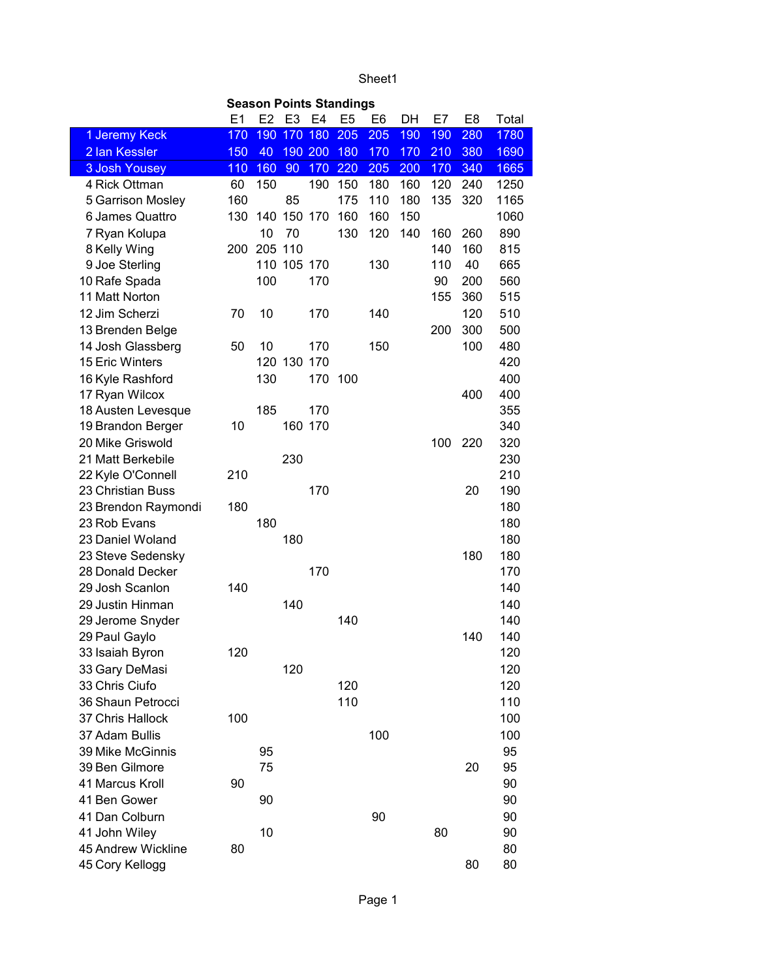Sheet1

| <b>Season Points Standings</b> |     |                |             |         |                |                |     |     |                |       |  |
|--------------------------------|-----|----------------|-------------|---------|----------------|----------------|-----|-----|----------------|-------|--|
|                                | E1  | E <sub>2</sub> |             | E3 E4   | E <sub>5</sub> | E <sub>6</sub> | DH  | E7  | E <sub>8</sub> | Total |  |
| 1 Jeremy Keck                  | 170 | 190            | 170         | 180     | 205            | 205            | 190 | 190 | 280            | 1780  |  |
| 2 Ian Kessler                  | 150 | 40             | 190         | 200     | 180            | 170            | 170 | 210 | 380            | 1690  |  |
| <b>3 Josh Yousey</b>           | 110 | 160            | 90          | 170     | 220            | 205            | 200 | 170 | 340            | 1665  |  |
| 4 Rick Ottman                  | 60  | 150            |             | 190     | 150            | 180            | 160 | 120 | 240            | 1250  |  |
| 5 Garrison Mosley              | 160 |                | 85          |         | 175            | 110            | 180 | 135 | 320            | 1165  |  |
| 6 James Quattro                | 130 | 140            | 150         | 170     | 160            | 160            | 150 |     |                | 1060  |  |
| 7 Ryan Kolupa                  |     | 10             | 70          |         | 130            | 120            | 140 | 160 | 260            | 890   |  |
| 8 Kelly Wing                   | 200 | 205 110        |             |         |                |                |     | 140 | 160            | 815   |  |
| 9 Joe Sterling                 |     |                | 110 105 170 |         |                | 130            |     | 110 | 40             | 665   |  |
| 10 Rafe Spada                  |     | 100            |             | 170     |                |                |     | 90  | 200            | 560   |  |
| 11 Matt Norton                 |     |                |             |         |                |                |     | 155 | 360            | 515   |  |
| 12 Jim Scherzi                 | 70  | 10             |             | 170     |                | 140            |     |     | 120            | 510   |  |
| 13 Brenden Belge               |     |                |             |         |                |                |     | 200 | 300            | 500   |  |
| 14 Josh Glassberg              | 50  | 10             |             | 170     |                | 150            |     |     | 100            | 480   |  |
| 15 Eric Winters                |     |                | 120 130     | 170     |                |                |     |     |                | 420   |  |
| 16 Kyle Rashford               |     | 130            |             | 170     | 100            |                |     |     |                | 400   |  |
| 17 Ryan Wilcox                 |     |                |             |         |                |                |     |     | 400            | 400   |  |
| 18 Austen Levesque             |     | 185            |             | 170     |                |                |     |     |                | 355   |  |
| 19 Brandon Berger              | 10  |                |             | 160 170 |                |                |     |     |                | 340   |  |
| 20 Mike Griswold               |     |                |             |         |                |                |     | 100 | 220            | 320   |  |
| 21 Matt Berkebile              |     |                | 230         |         |                |                |     |     |                | 230   |  |
| 22 Kyle O'Connell              | 210 |                |             |         |                |                |     |     |                | 210   |  |
| 23 Christian Buss              |     |                |             | 170     |                |                |     |     | 20             | 190   |  |
| 23 Brendon Raymondi            | 180 |                |             |         |                |                |     |     |                | 180   |  |
| 23 Rob Evans                   |     | 180            |             |         |                |                |     |     |                | 180   |  |
| 23 Daniel Woland               |     |                | 180         |         |                |                |     |     |                | 180   |  |
| 23 Steve Sedensky              |     |                |             |         |                |                |     |     | 180            | 180   |  |
| 28 Donald Decker               |     |                |             | 170     |                |                |     |     |                | 170   |  |
| 29 Josh Scanlon                | 140 |                |             |         |                |                |     |     |                | 140   |  |
| 29 Justin Hinman               |     |                | 140         |         |                |                |     |     |                | 140   |  |
| 29 Jerome Snyder               |     |                |             |         | 140            |                |     |     |                | 140   |  |
| 29 Paul Gaylo                  |     |                |             |         |                |                |     |     | 140            | 140   |  |
| 33 Isaiah Byron                | 120 |                |             |         |                |                |     |     |                | 120   |  |
| 33 Gary DeMasi                 |     |                | 120         |         |                |                |     |     |                | 120   |  |
| 33 Chris Ciufo                 |     |                |             |         | 120            |                |     |     |                | 120   |  |
| 36 Shaun Petrocci              |     |                |             |         | 110            |                |     |     |                | 110   |  |
| 37 Chris Hallock               | 100 |                |             |         |                |                |     |     |                | 100   |  |
| 37 Adam Bullis                 |     |                |             |         |                | 100            |     |     |                | 100   |  |
| 39 Mike McGinnis               |     | 95             |             |         |                |                |     |     |                | 95    |  |
| 39 Ben Gilmore                 |     | 75             |             |         |                |                |     |     | 20             | 95    |  |
| 41 Marcus Kroll                | 90  |                |             |         |                |                |     |     |                | 90    |  |
| 41 Ben Gower                   |     | 90             |             |         |                |                |     |     |                | 90    |  |
| 41 Dan Colburn                 |     |                |             |         |                | 90             |     |     |                | 90    |  |
| 41 John Wiley                  |     | 10             |             |         |                |                |     | 80  |                | 90    |  |
| 45 Andrew Wickline             | 80  |                |             |         |                |                |     |     |                | 80    |  |
| 45 Cory Kellogg                |     |                |             |         |                |                |     |     | 80             | 80    |  |
|                                |     |                |             |         |                |                |     |     |                |       |  |